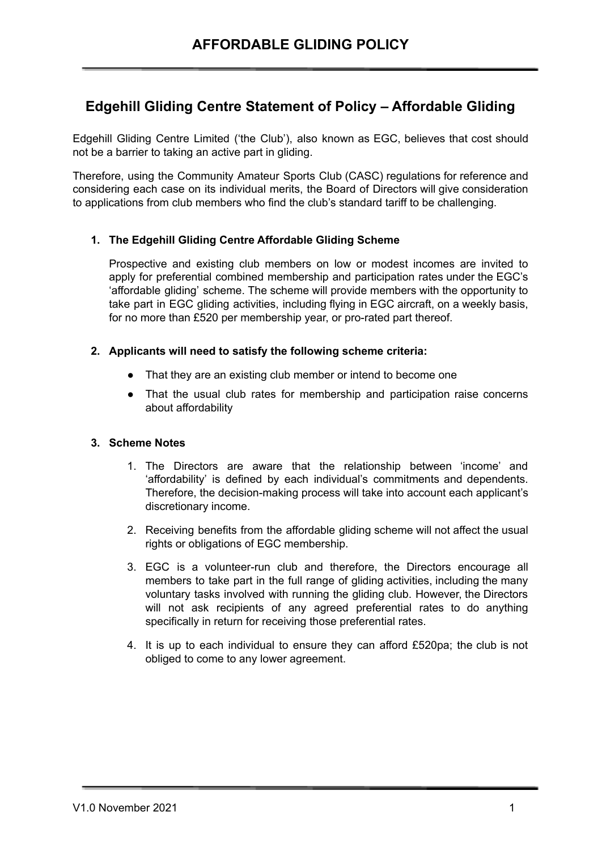# **Edgehill Gliding Centre Statement of Policy – Affordable Gliding**

Edgehill Gliding Centre Limited ('the Club'), also known as EGC, believes that cost should not be a barrier to taking an active part in gliding.

Therefore, using the Community Amateur Sports Club (CASC) regulations for reference and considering each case on its individual merits, the Board of Directors will give consideration to applications from club members who find the club's standard tariff to be challenging.

## **1. The Edgehill Gliding Centre Affordable Gliding Scheme**

Prospective and existing club members on low or modest incomes are invited to apply for preferential combined membership and participation rates under the EGC's 'affordable gliding' scheme. The scheme will provide members with the opportunity to take part in EGC gliding activities, including flying in EGC aircraft, on a weekly basis, for no more than £520 per membership year, or pro-rated part thereof.

## **2. Applicants will need to satisfy the following scheme criteria:**

- That they are an existing club member or intend to become one
- That the usual club rates for membership and participation raise concerns about affordability

## **3. Scheme Notes**

- 1. The Directors are aware that the relationship between 'income' and 'affordability' is defined by each individual's commitments and dependents. Therefore, the decision-making process will take into account each applicant's discretionary income.
- 2. Receiving benefits from the affordable gliding scheme will not affect the usual rights or obligations of EGC membership.
- 3. EGC is a volunteer-run club and therefore, the Directors encourage all members to take part in the full range of gliding activities, including the many voluntary tasks involved with running the gliding club. However, the Directors will not ask recipients of any agreed preferential rates to do anything specifically in return for receiving those preferential rates.
- 4. It is up to each individual to ensure they can afford £520pa; the club is not obliged to come to any lower agreement.